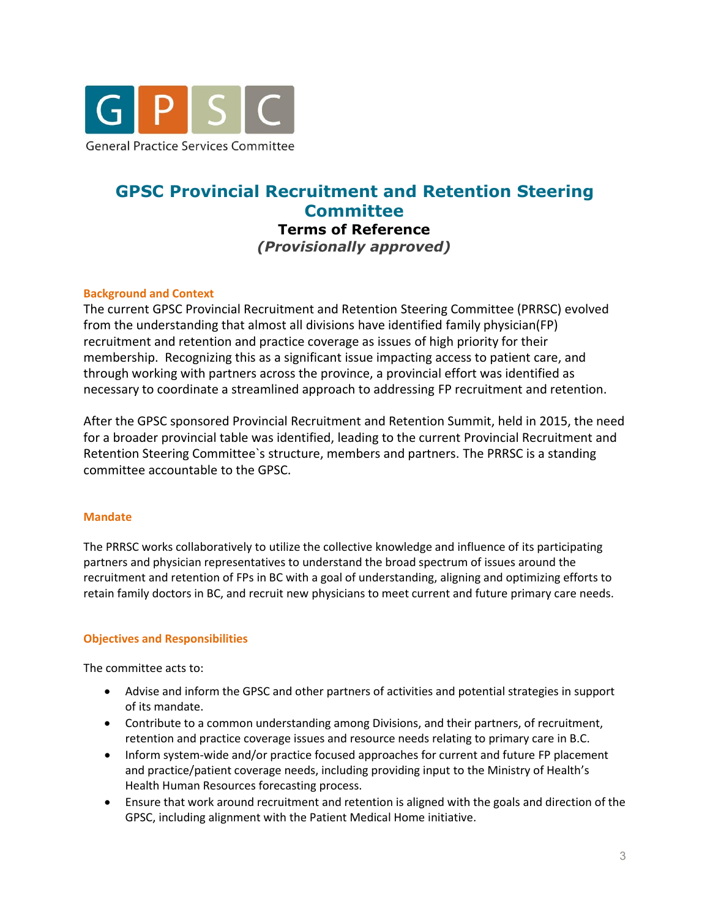

# **GPSC Provincial Recruitment and Retention Steering Committee Terms of Reference**  *(Provisionally approved)*

## **Background and Context**

The current GPSC Provincial Recruitment and Retention Steering Committee (PRRSC) evolved from the understanding that almost all divisions have identified family physician(FP) recruitment and retention and practice coverage as issues of high priority for their membership. Recognizing this as a significant issue impacting access to patient care, and through working with partners across the province, a provincial effort was identified as necessary to coordinate a streamlined approach to addressing FP recruitment and retention.

After the GPSC sponsored Provincial Recruitment and Retention Summit, held in 2015, the need for a broader provincial table was identified, leading to the current Provincial Recruitment and Retention Steering Committee`s structure, members and partners. The PRRSC is a standing committee accountable to the GPSC.

## **Mandate**

The PRRSC works collaboratively to utilize the collective knowledge and influence of its participating partners and physician representatives to understand the broad spectrum of issues around the recruitment and retention of FPs in BC with a goal of understanding, aligning and optimizing efforts to retain family doctors in BC, and recruit new physicians to meet current and future primary care needs.

## **Objectives and Responsibilities**

The committee acts to:

- Advise and inform the GPSC and other partners of activities and potential strategies in support of its mandate.
- Contribute to a common understanding among Divisions, and their partners, of recruitment, retention and practice coverage issues and resource needs relating to primary care in B.C.
- Inform system-wide and/or practice focused approaches for current and future FP placement and practice/patient coverage needs, including providing input to the Ministry of Health's Health Human Resources forecasting process.
- Ensure that work around recruitment and retention is aligned with the goals and direction of the GPSC, including alignment with the Patient Medical Home initiative.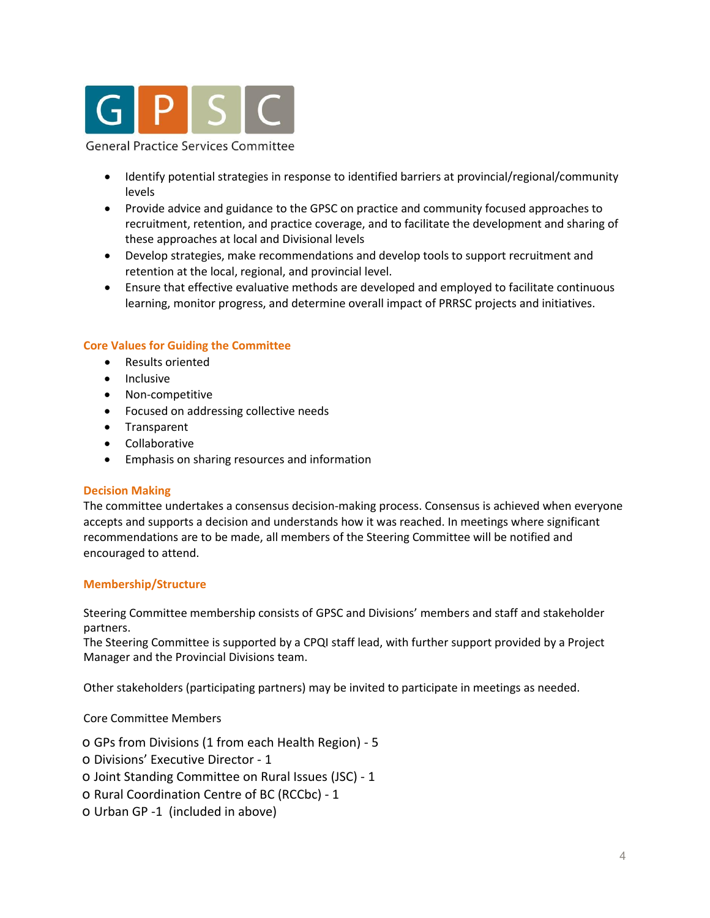

#### **General Practice Services Committee**

- Identify potential strategies in response to identified barriers at provincial/regional/community levels
- Provide advice and guidance to the GPSC on practice and community focused approaches to recruitment, retention, and practice coverage, and to facilitate the development and sharing of these approaches at local and Divisional levels
- Develop strategies, make recommendations and develop tools to support recruitment and retention at the local, regional, and provincial level.
- Ensure that effective evaluative methods are developed and employed to facilitate continuous learning, monitor progress, and determine overall impact of PRRSC projects and initiatives.

## **Core Values for Guiding the Committee**

- Results oriented
- Inclusive
- Non-competitive
- Focused on addressing collective needs
- Transparent
- **•** Collaborative
- Emphasis on sharing resources and information

## **Decision Making**

The committee undertakes a consensus decision-making process. Consensus is achieved when everyone accepts and supports a decision and understands how it was reached. In meetings where significant recommendations are to be made, all members of the Steering Committee will be notified and encouraged to attend.

## **Membership/Structure**

Steering Committee membership consists of GPSC and Divisions' members and staff and stakeholder partners.

The Steering Committee is supported by a CPQI staff lead, with further support provided by a Project Manager and the Provincial Divisions team.

Other stakeholders (participating partners) may be invited to participate in meetings as needed.

Core Committee Members

o GPs from Divisions (1 from each Health Region) - 5

- o Divisions' Executive Director 1
- o Joint Standing Committee on Rural Issues (JSC) 1
- o Rural Coordination Centre of BC (RCCbc) 1
- o Urban GP -1 (included in above)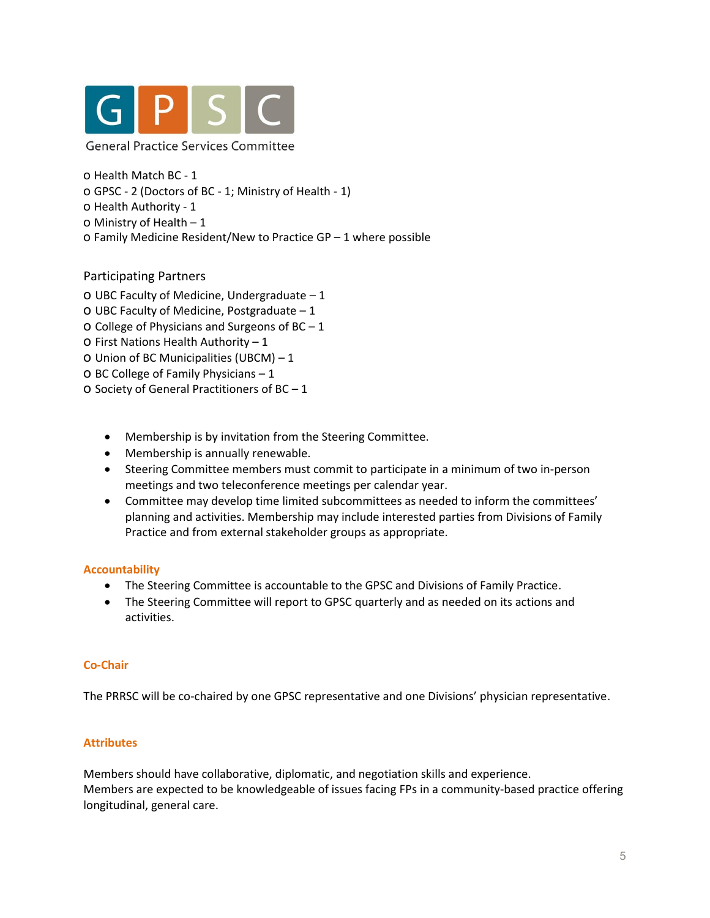

**General Practice Services Committee** 

- o Health Match BC 1
- o GPSC 2 (Doctors of BC 1; Ministry of Health 1)
- o Health Authority 1
- o Ministry of Health 1
- o Family Medicine Resident/New to Practice GP 1 where possible

## Participating Partners

- o UBC Faculty of Medicine, Undergraduate 1
- o UBC Faculty of Medicine, Postgraduate 1
- O College of Physicians and Surgeons of  $BC 1$
- o First Nations Health Authority 1
- o Union of BC Municipalities (UBCM) 1
- o BC College of Family Physicians 1
- o Society of General Practitioners of BC 1
	- Membership is by invitation from the Steering Committee.
	- Membership is annually renewable.
	- Steering Committee members must commit to participate in a minimum of two in-person meetings and two teleconference meetings per calendar year.
	- Committee may develop time limited subcommittees as needed to inform the committees' planning and activities. Membership may include interested parties from Divisions of Family Practice and from external stakeholder groups as appropriate.

## **Accountability**

- The Steering Committee is accountable to the GPSC and Divisions of Family Practice.
- The Steering Committee will report to GPSC quarterly and as needed on its actions and activities.

#### **Co-Chair**

The PRRSC will be co-chaired by one GPSC representative and one Divisions' physician representative.

## **Attributes**

Members should have collaborative, diplomatic, and negotiation skills and experience. Members are expected to be knowledgeable of issues facing FPs in a community-based practice offering longitudinal, general care.